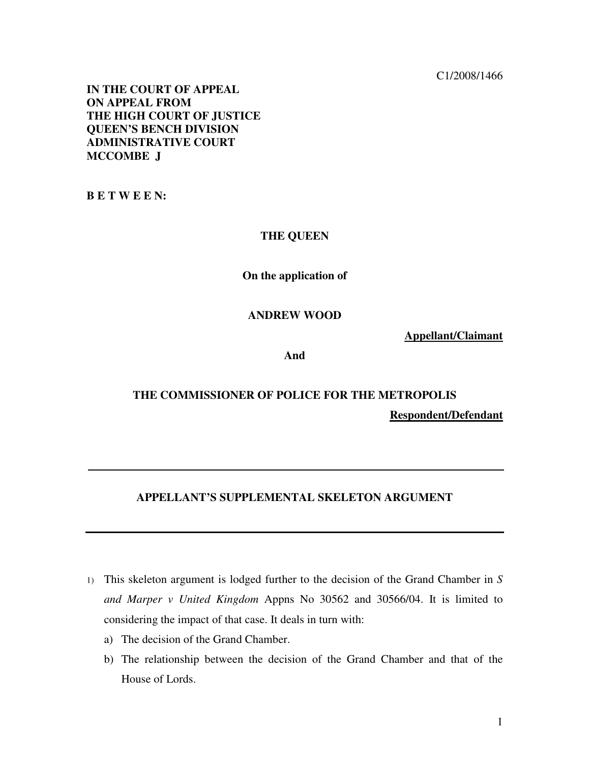C1/2008/1466

**IN THE COURT OF APPEAL ON APPEAL FROM THE HIGH COURT OF JUSTICE QUEEN'S BENCH DIVISION ADMINISTRATIVE COURT MCCOMBE J** 

**B E T W E E N:** 

#### **THE QUEEN**

## **On the application of**

#### **ANDREW WOOD**

**Appellant/Claimant**

**And** 

# **THE COMMISSIONER OF POLICE FOR THE METROPOLIS Respondent/Defendant**

## **APPELLANT'S SUPPLEMENTAL SKELETON ARGUMENT**

- 1) This skeleton argument is lodged further to the decision of the Grand Chamber in *S and Marper v United Kingdom* Appns No 30562 and 30566/04. It is limited to considering the impact of that case. It deals in turn with:
	- a) The decision of the Grand Chamber.
	- b) The relationship between the decision of the Grand Chamber and that of the House of Lords.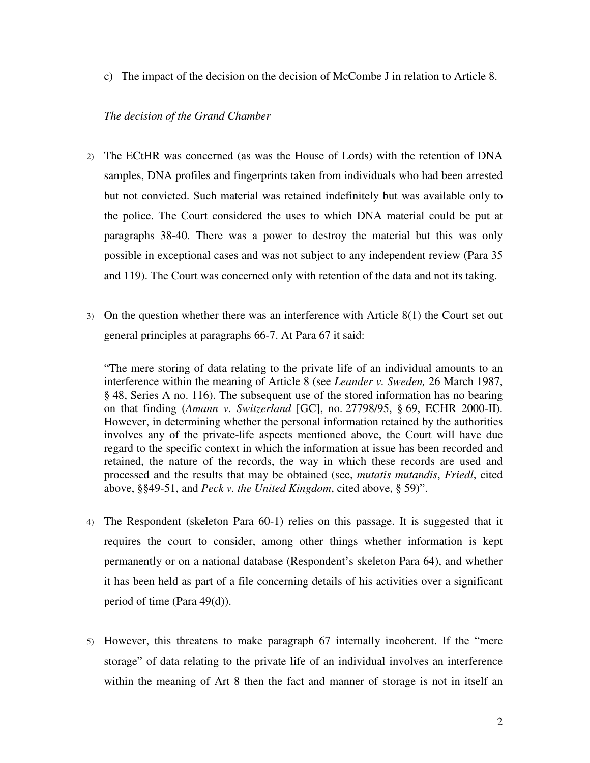c) The impact of the decision on the decision of McCombe J in relation to Article 8.

## *The decision of the Grand Chamber*

- 2) The ECtHR was concerned (as was the House of Lords) with the retention of DNA samples, DNA profiles and fingerprints taken from individuals who had been arrested but not convicted. Such material was retained indefinitely but was available only to the police. The Court considered the uses to which DNA material could be put at paragraphs 38-40. There was a power to destroy the material but this was only possible in exceptional cases and was not subject to any independent review (Para 35 and 119). The Court was concerned only with retention of the data and not its taking.
- 3) On the question whether there was an interference with Article 8(1) the Court set out general principles at paragraphs 66-7. At Para 67 it said:

"The mere storing of data relating to the private life of an individual amounts to an interference within the meaning of Article 8 (see *Leander v. Sweden,* 26 March 1987, § 48, Series A no. 116). The subsequent use of the stored information has no bearing on that finding (*Amann v. Switzerland* [GC], no. 27798/95, § 69, ECHR 2000-II). However, in determining whether the personal information retained by the authorities involves any of the private-life aspects mentioned above, the Court will have due regard to the specific context in which the information at issue has been recorded and retained, the nature of the records, the way in which these records are used and processed and the results that may be obtained (see, *mutatis mutandis*, *Friedl*, cited above, §§49-51, and *Peck v. the United Kingdom*, cited above, § 59)".

- 4) The Respondent (skeleton Para 60-1) relies on this passage. It is suggested that it requires the court to consider, among other things whether information is kept permanently or on a national database (Respondent's skeleton Para 64), and whether it has been held as part of a file concerning details of his activities over a significant period of time (Para 49(d)).
- 5) However, this threatens to make paragraph 67 internally incoherent. If the "mere storage" of data relating to the private life of an individual involves an interference within the meaning of Art 8 then the fact and manner of storage is not in itself an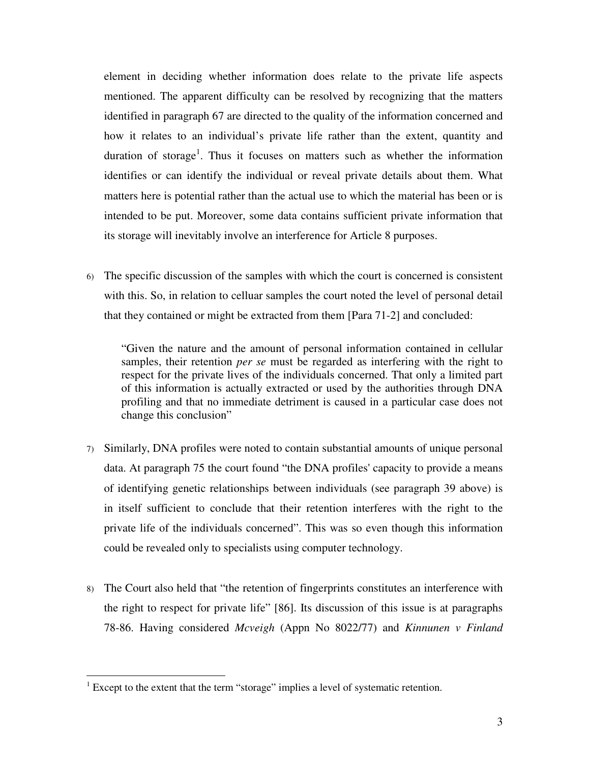element in deciding whether information does relate to the private life aspects mentioned. The apparent difficulty can be resolved by recognizing that the matters identified in paragraph 67 are directed to the quality of the information concerned and how it relates to an individual's private life rather than the extent, quantity and duration of storage<sup>1</sup>. Thus it focuses on matters such as whether the information identifies or can identify the individual or reveal private details about them. What matters here is potential rather than the actual use to which the material has been or is intended to be put. Moreover, some data contains sufficient private information that its storage will inevitably involve an interference for Article 8 purposes.

6) The specific discussion of the samples with which the court is concerned is consistent with this. So, in relation to celluar samples the court noted the level of personal detail that they contained or might be extracted from them [Para 71-2] and concluded:

"Given the nature and the amount of personal information contained in cellular samples, their retention *per se* must be regarded as interfering with the right to respect for the private lives of the individuals concerned. That only a limited part of this information is actually extracted or used by the authorities through DNA profiling and that no immediate detriment is caused in a particular case does not change this conclusion"

- 7) Similarly, DNA profiles were noted to contain substantial amounts of unique personal data. At paragraph 75 the court found "the DNA profiles' capacity to provide a means of identifying genetic relationships between individuals (see paragraph 39 above) is in itself sufficient to conclude that their retention interferes with the right to the private life of the individuals concerned". This was so even though this information could be revealed only to specialists using computer technology.
- 8) The Court also held that "the retention of fingerprints constitutes an interference with the right to respect for private life" [86]. Its discussion of this issue is at paragraphs 78-86. Having considered *Mcveigh* (Appn No 8022/77) and *Kinnunen v Finland*

 $\overline{a}$ 

<sup>&</sup>lt;sup>1</sup> Except to the extent that the term "storage" implies a level of systematic retention.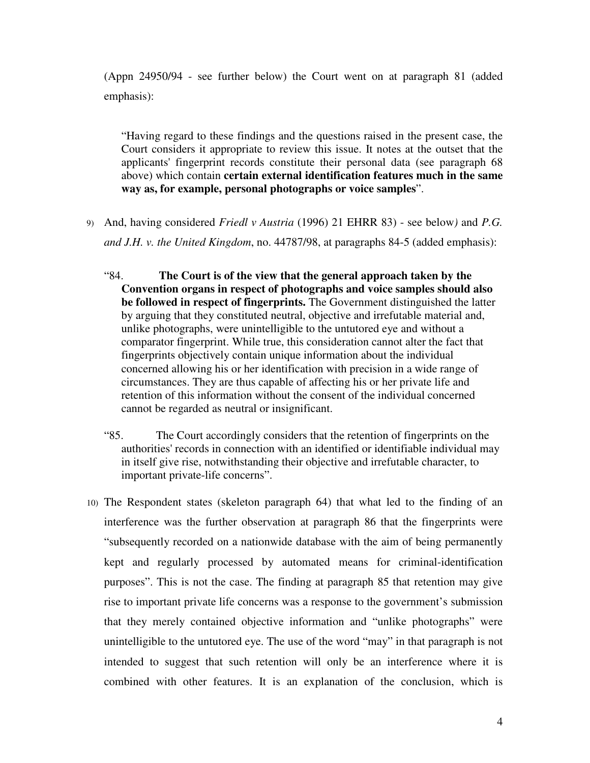(Appn 24950/94 - see further below) the Court went on at paragraph 81 (added emphasis):

"Having regard to these findings and the questions raised in the present case, the Court considers it appropriate to review this issue. It notes at the outset that the applicants' fingerprint records constitute their personal data (see paragraph 68 above) which contain **certain external identification features much in the same way as, for example, personal photographs or voice samples**".

- 9) And, having considered *Friedl v Austria* (1996) 21 EHRR 83) see below*)* and *P.G. and J.H. v. the United Kingdom*, no. 44787/98, at paragraphs 84-5 (added emphasis):
	- "84. **The Court is of the view that the general approach taken by the Convention organs in respect of photographs and voice samples should also be followed in respect of fingerprints.** The Government distinguished the latter by arguing that they constituted neutral, objective and irrefutable material and, unlike photographs, were unintelligible to the untutored eye and without a comparator fingerprint. While true, this consideration cannot alter the fact that fingerprints objectively contain unique information about the individual concerned allowing his or her identification with precision in a wide range of circumstances. They are thus capable of affecting his or her private life and retention of this information without the consent of the individual concerned cannot be regarded as neutral or insignificant.
	- "85. The Court accordingly considers that the retention of fingerprints on the authorities' records in connection with an identified or identifiable individual may in itself give rise, notwithstanding their objective and irrefutable character, to important private-life concerns".
- 10) The Respondent states (skeleton paragraph 64) that what led to the finding of an interference was the further observation at paragraph 86 that the fingerprints were "subsequently recorded on a nationwide database with the aim of being permanently kept and regularly processed by automated means for criminal-identification purposes". This is not the case. The finding at paragraph 85 that retention may give rise to important private life concerns was a response to the government's submission that they merely contained objective information and "unlike photographs" were unintelligible to the untutored eye. The use of the word "may" in that paragraph is not intended to suggest that such retention will only be an interference where it is combined with other features. It is an explanation of the conclusion, which is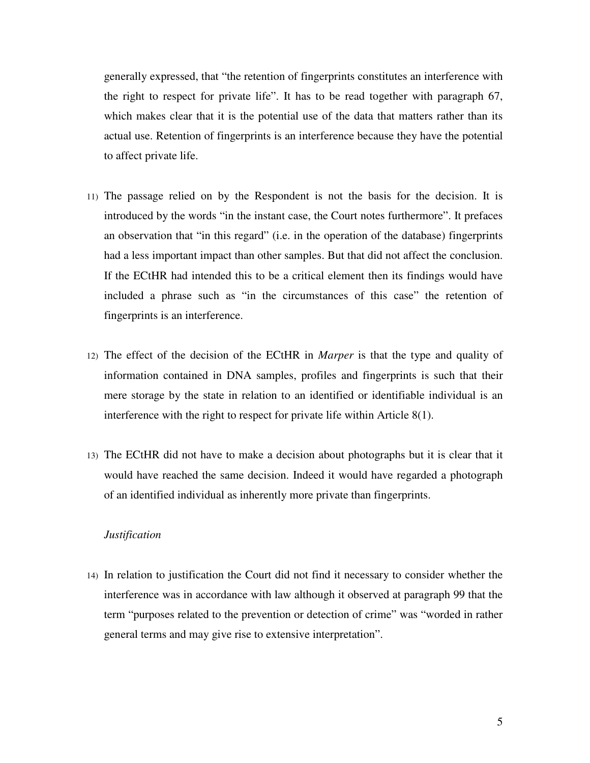generally expressed, that "the retention of fingerprints constitutes an interference with the right to respect for private life". It has to be read together with paragraph 67, which makes clear that it is the potential use of the data that matters rather than its actual use. Retention of fingerprints is an interference because they have the potential to affect private life.

- 11) The passage relied on by the Respondent is not the basis for the decision. It is introduced by the words "in the instant case, the Court notes furthermore". It prefaces an observation that "in this regard" (i.e. in the operation of the database) fingerprints had a less important impact than other samples. But that did not affect the conclusion. If the ECtHR had intended this to be a critical element then its findings would have included a phrase such as "in the circumstances of this case" the retention of fingerprints is an interference.
- 12) The effect of the decision of the ECtHR in *Marper* is that the type and quality of information contained in DNA samples, profiles and fingerprints is such that their mere storage by the state in relation to an identified or identifiable individual is an interference with the right to respect for private life within Article 8(1).
- 13) The ECtHR did not have to make a decision about photographs but it is clear that it would have reached the same decision. Indeed it would have regarded a photograph of an identified individual as inherently more private than fingerprints.

## *Justification*

14) In relation to justification the Court did not find it necessary to consider whether the interference was in accordance with law although it observed at paragraph 99 that the term "purposes related to the prevention or detection of crime" was "worded in rather general terms and may give rise to extensive interpretation".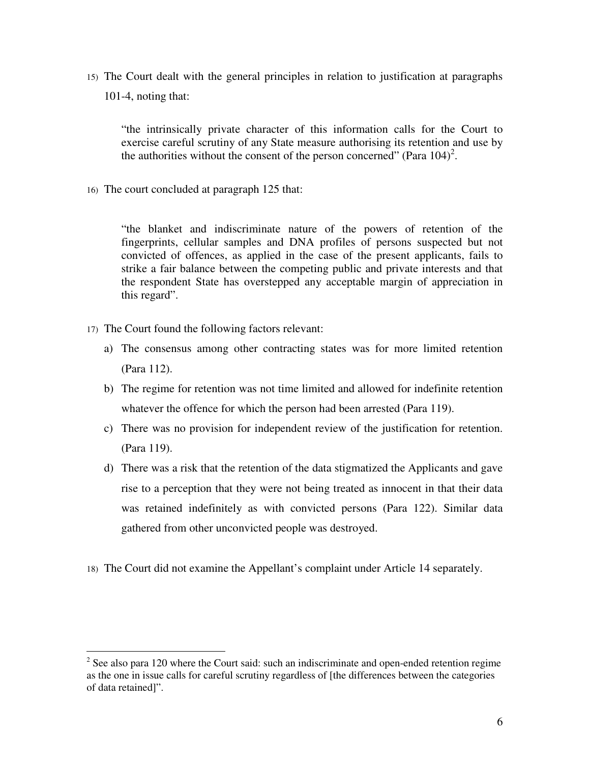15) The Court dealt with the general principles in relation to justification at paragraphs 101-4, noting that:

"the intrinsically private character of this information calls for the Court to exercise careful scrutiny of any State measure authorising its retention and use by the authorities without the consent of the person concerned" (Para  $104$ )<sup>2</sup>.

16) The court concluded at paragraph 125 that:

"the blanket and indiscriminate nature of the powers of retention of the fingerprints, cellular samples and DNA profiles of persons suspected but not convicted of offences, as applied in the case of the present applicants, fails to strike a fair balance between the competing public and private interests and that the respondent State has overstepped any acceptable margin of appreciation in this regard".

17) The Court found the following factors relevant:

 $\overline{a}$ 

- a) The consensus among other contracting states was for more limited retention (Para 112).
- b) The regime for retention was not time limited and allowed for indefinite retention whatever the offence for which the person had been arrested (Para 119).
- c) There was no provision for independent review of the justification for retention. (Para 119).
- d) There was a risk that the retention of the data stigmatized the Applicants and gave rise to a perception that they were not being treated as innocent in that their data was retained indefinitely as with convicted persons (Para 122). Similar data gathered from other unconvicted people was destroyed.
- 18) The Court did not examine the Appellant's complaint under Article 14 separately.

 $2^2$  See also para 120 where the Court said: such an indiscriminate and open-ended retention regime as the one in issue calls for careful scrutiny regardless of [the differences between the categories of data retained]".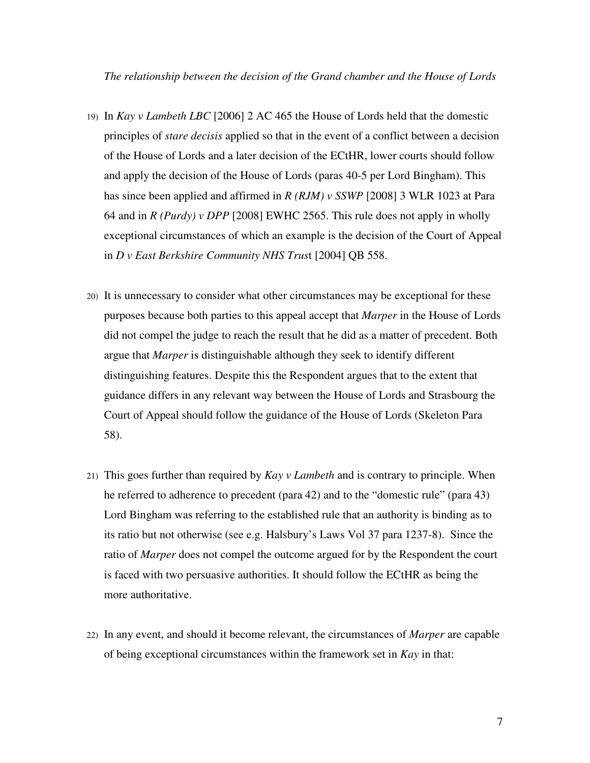*The relationship between the decision of the Grand chamber and the House of Lords* 

- 19) In *Kay v Lambeth LBC* [2006] 2 AC 465 the House of Lords held that the domestic principles of *stare decisis* applied so that in the event of a conflict between a decision of the House of Lords and a later decision of the ECtHR, lower courts should follow and apply the decision of the House of Lords (paras 40-5 per Lord Bingham). This has since been applied and affirmed in *R (RJM) v SSWP* [2008] 3 WLR 1023 at Para 64 and in *R (Purdy) v DPP* [2008] EWHC 2565. This rule does not apply in wholly exceptional circumstances of which an example is the decision of the Court of Appeal in *D v East Berkshire Community NHS Trus*t [2004] QB 558.
- 20) It is unnecessary to consider what other circumstances may be exceptional for these purposes because both parties to this appeal accept that *Marper* in the House of Lords did not compel the judge to reach the result that he did as a matter of precedent. Both argue that *Marper* is distinguishable although they seek to identify different distinguishing features. Despite this the Respondent argues that to the extent that guidance differs in any relevant way between the House of Lords and Strasbourg the Court of Appeal should follow the guidance of the House of Lords (Skeleton Para 58).
- 21) This goes further than required by *Kay v Lambeth* and is contrary to principle. When he referred to adherence to precedent (para 42) and to the "domestic rule" (para 43) Lord Bingham was referring to the established rule that an authority is binding as to its ratio but not otherwise (see e.g. Halsbury's Laws Vol 37 para 1237-8). Since the ratio of *Marper* does not compel the outcome argued for by the Respondent the court is faced with two persuasive authorities. It should follow the ECtHR as being the more authoritative.
- 22) In any event, and should it become relevant, the circumstances of *Marper* are capable of being exceptional circumstances within the framework set in *Kay* in that: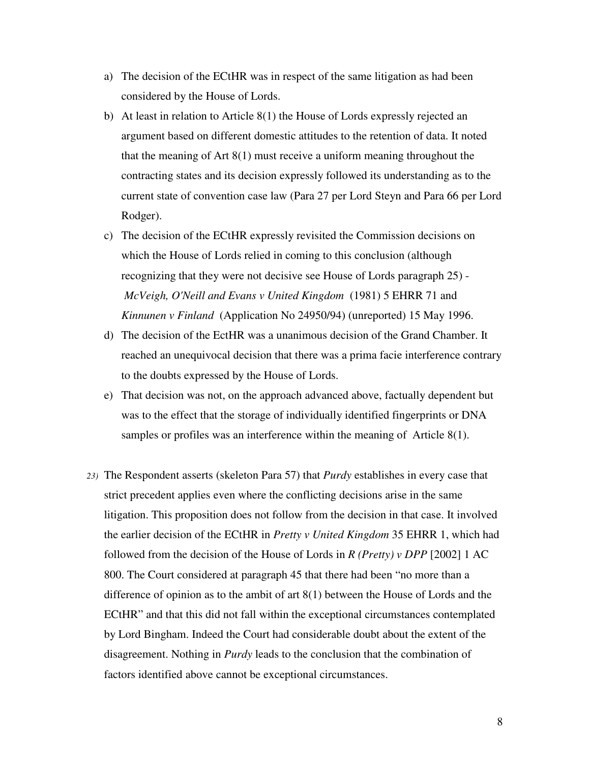- a) The decision of the ECtHR was in respect of the same litigation as had been considered by the House of Lords.
- b) At least in relation to Article 8(1) the House of Lords expressly rejected an argument based on different domestic attitudes to the retention of data. It noted that the meaning of Art 8(1) must receive a uniform meaning throughout the contracting states and its decision expressly followed its understanding as to the current state of convention case law (Para 27 per Lord Steyn and Para 66 per Lord Rodger).
- c) The decision of the ECtHR expressly revisited the Commission decisions on which the House of Lords relied in coming to this conclusion (although recognizing that they were not decisive see House of Lords paragraph 25) -  *McVeigh, O'Neill and Evans v United Kingdom* (1981) 5 EHRR 71 and *Kinnunen v Finland* (Application No 24950/94) (unreported) 15 May 1996.
- d) The decision of the EctHR was a unanimous decision of the Grand Chamber. It reached an unequivocal decision that there was a prima facie interference contrary to the doubts expressed by the House of Lords.
- e) That decision was not, on the approach advanced above, factually dependent but was to the effect that the storage of individually identified fingerprints or DNA samples or profiles was an interference within the meaning of Article 8(1).
- *23)* The Respondent asserts (skeleton Para 57) that *Purdy* establishes in every case that strict precedent applies even where the conflicting decisions arise in the same litigation. This proposition does not follow from the decision in that case. It involved the earlier decision of the ECtHR in *Pretty v United Kingdom* 35 EHRR 1, which had followed from the decision of the House of Lords in *R (Pretty) v DPP* [2002] 1 AC 800. The Court considered at paragraph 45 that there had been "no more than a difference of opinion as to the ambit of art 8(1) between the House of Lords and the ECtHR" and that this did not fall within the exceptional circumstances contemplated by Lord Bingham. Indeed the Court had considerable doubt about the extent of the disagreement. Nothing in *Purdy* leads to the conclusion that the combination of factors identified above cannot be exceptional circumstances.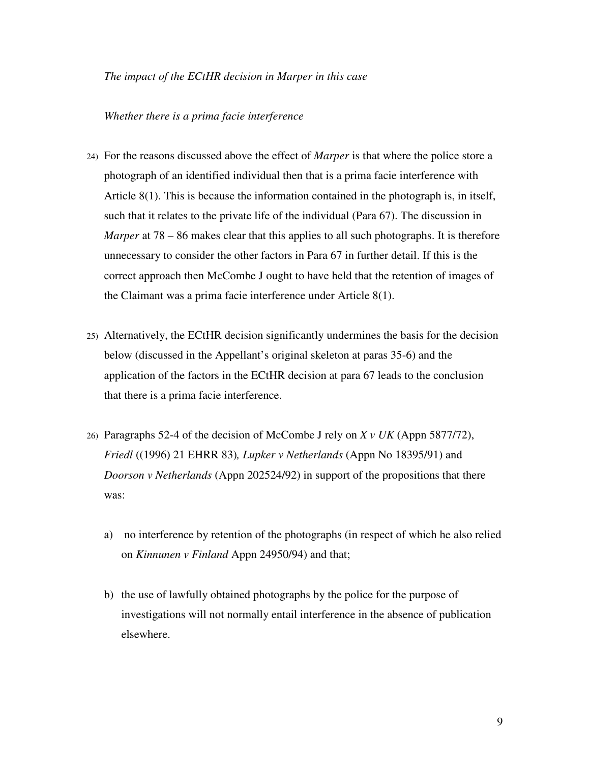#### *The impact of the ECtHR decision in Marper in this case*

#### *Whether there is a prima facie interference*

- 24) For the reasons discussed above the effect of *Marper* is that where the police store a photograph of an identified individual then that is a prima facie interference with Article 8(1). This is because the information contained in the photograph is, in itself, such that it relates to the private life of the individual (Para 67). The discussion in *Marper* at 78 – 86 makes clear that this applies to all such photographs. It is therefore unnecessary to consider the other factors in Para 67 in further detail. If this is the correct approach then McCombe J ought to have held that the retention of images of the Claimant was a prima facie interference under Article 8(1).
- 25) Alternatively, the ECtHR decision significantly undermines the basis for the decision below (discussed in the Appellant's original skeleton at paras 35-6) and the application of the factors in the ECtHR decision at para 67 leads to the conclusion that there is a prima facie interference.
- 26) Paragraphs 52-4 of the decision of McCombe J rely on *X v UK* (Appn 5877/72), *Friedl* ((1996) 21 EHRR 83)*, Lupker v Netherlands* (Appn No 18395/91) and *Doorson v Netherlands* (Appn 202524/92) in support of the propositions that there was:
	- a) no interference by retention of the photographs (in respect of which he also relied on *Kinnunen v Finland* Appn 24950/94) and that;
	- b) the use of lawfully obtained photographs by the police for the purpose of investigations will not normally entail interference in the absence of publication elsewhere.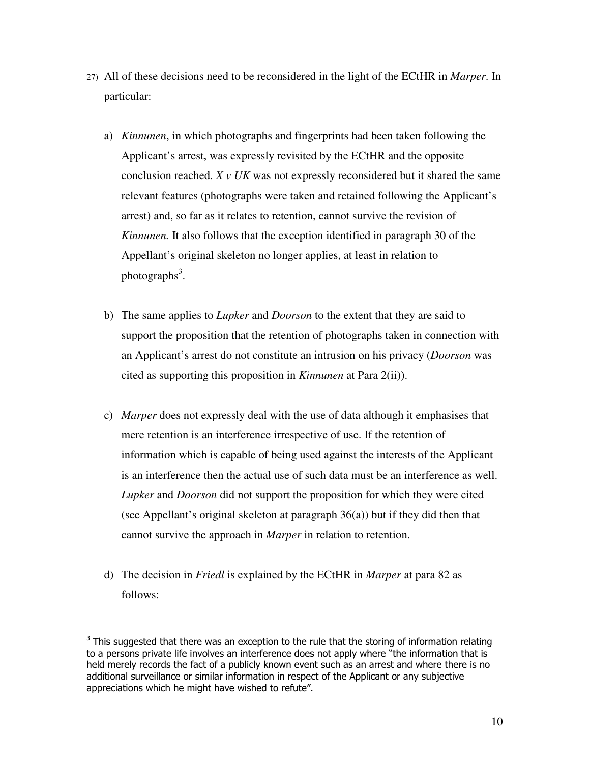- 27) All of these decisions need to be reconsidered in the light of the ECtHR in *Marper*. In particular:
	- a) *Kinnunen*, in which photographs and fingerprints had been taken following the Applicant's arrest, was expressly revisited by the ECtHR and the opposite conclusion reached. *X v UK* was not expressly reconsidered but it shared the same relevant features (photographs were taken and retained following the Applicant's arrest) and, so far as it relates to retention, cannot survive the revision of *Kinnunen.* It also follows that the exception identified in paragraph 30 of the Appellant's original skeleton no longer applies, at least in relation to photographs<sup>3</sup>.
	- b) The same applies to *Lupker* and *Doorson* to the extent that they are said to support the proposition that the retention of photographs taken in connection with an Applicant's arrest do not constitute an intrusion on his privacy (*Doorson* was cited as supporting this proposition in *Kinnunen* at Para 2(ii)).
	- c) *Marper* does not expressly deal with the use of data although it emphasises that mere retention is an interference irrespective of use. If the retention of information which is capable of being used against the interests of the Applicant is an interference then the actual use of such data must be an interference as well. *Lupker* and *Doorson* did not support the proposition for which they were cited (see Appellant's original skeleton at paragraph 36(a)) but if they did then that cannot survive the approach in *Marper* in relation to retention.
	- d) The decision in *Friedl* is explained by the ECtHR in *Marper* at para 82 as follows:

 $\overline{a}$ 

 $3$  This suggested that there was an exception to the rule that the storing of information relating to a persons private life involves an interference does not apply where "the information that is held merely records the fact of a publicly known event such as an arrest and where there is no additional surveillance or similar information in respect of the Applicant or any subjective appreciations which he might have wished to refute".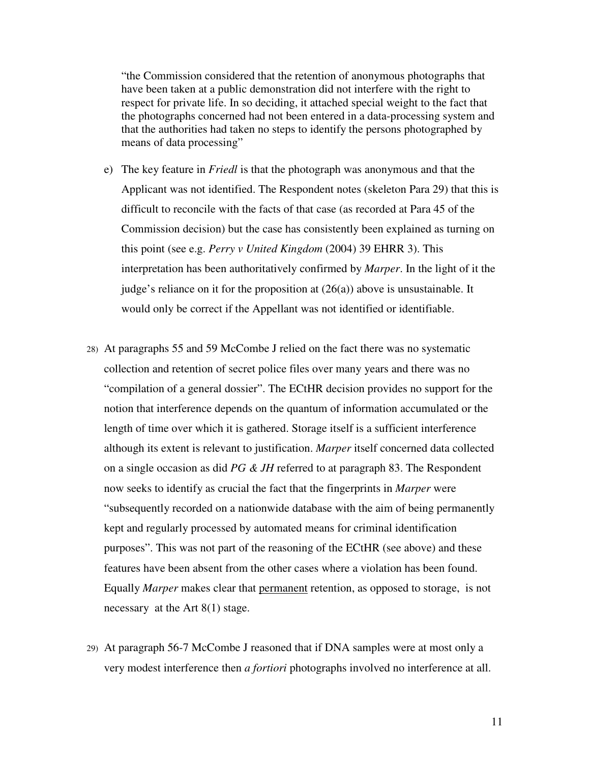"the Commission considered that the retention of anonymous photographs that have been taken at a public demonstration did not interfere with the right to respect for private life. In so deciding, it attached special weight to the fact that the photographs concerned had not been entered in a data-processing system and that the authorities had taken no steps to identify the persons photographed by means of data processing"

- e) The key feature in *Friedl* is that the photograph was anonymous and that the Applicant was not identified. The Respondent notes (skeleton Para 29) that this is difficult to reconcile with the facts of that case (as recorded at Para 45 of the Commission decision) but the case has consistently been explained as turning on this point (see e.g. *Perry v United Kingdom* (2004) 39 EHRR 3). This interpretation has been authoritatively confirmed by *Marper*. In the light of it the judge's reliance on it for the proposition at  $(26(a))$  above is unsustainable. It would only be correct if the Appellant was not identified or identifiable.
- 28) At paragraphs 55 and 59 McCombe J relied on the fact there was no systematic collection and retention of secret police files over many years and there was no "compilation of a general dossier". The ECtHR decision provides no support for the notion that interference depends on the quantum of information accumulated or the length of time over which it is gathered. Storage itself is a sufficient interference although its extent is relevant to justification. *Marper* itself concerned data collected on a single occasion as did *PG & JH* referred to at paragraph 83. The Respondent now seeks to identify as crucial the fact that the fingerprints in *Marper* were "subsequently recorded on a nationwide database with the aim of being permanently kept and regularly processed by automated means for criminal identification purposes". This was not part of the reasoning of the ECtHR (see above) and these features have been absent from the other cases where a violation has been found. Equally *Marper* makes clear that permanent retention, as opposed to storage, is not necessary at the Art 8(1) stage.
- 29) At paragraph 56-7 McCombe J reasoned that if DNA samples were at most only a very modest interference then *a fortiori* photographs involved no interference at all.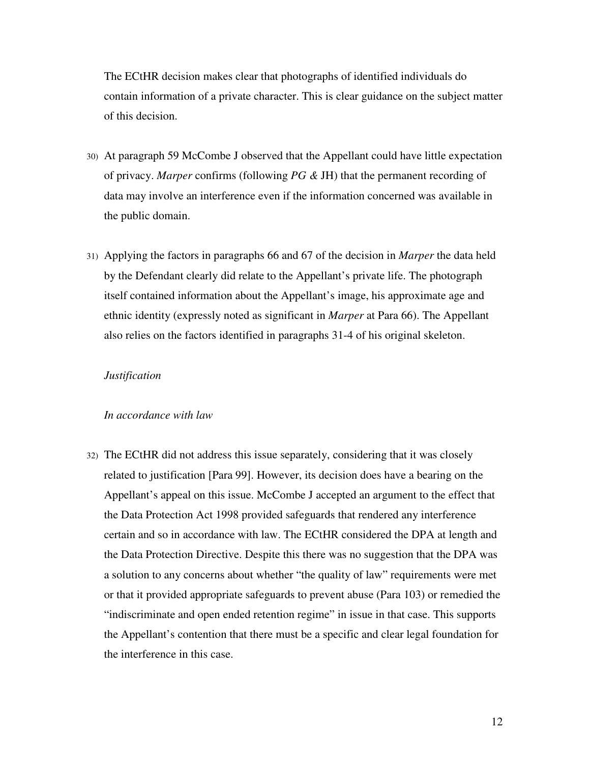The ECtHR decision makes clear that photographs of identified individuals do contain information of a private character. This is clear guidance on the subject matter of this decision.

- 30) At paragraph 59 McCombe J observed that the Appellant could have little expectation of privacy. *Marper* confirms (following *PG &* JH) that the permanent recording of data may involve an interference even if the information concerned was available in the public domain.
- 31) Applying the factors in paragraphs 66 and 67 of the decision in *Marper* the data held by the Defendant clearly did relate to the Appellant's private life. The photograph itself contained information about the Appellant's image, his approximate age and ethnic identity (expressly noted as significant in *Marper* at Para 66). The Appellant also relies on the factors identified in paragraphs 31-4 of his original skeleton.

#### *Justification*

#### *In accordance with law*

32) The ECtHR did not address this issue separately, considering that it was closely related to justification [Para 99]. However, its decision does have a bearing on the Appellant's appeal on this issue. McCombe J accepted an argument to the effect that the Data Protection Act 1998 provided safeguards that rendered any interference certain and so in accordance with law. The ECtHR considered the DPA at length and the Data Protection Directive. Despite this there was no suggestion that the DPA was a solution to any concerns about whether "the quality of law" requirements were met or that it provided appropriate safeguards to prevent abuse (Para 103) or remedied the "indiscriminate and open ended retention regime" in issue in that case. This supports the Appellant's contention that there must be a specific and clear legal foundation for the interference in this case.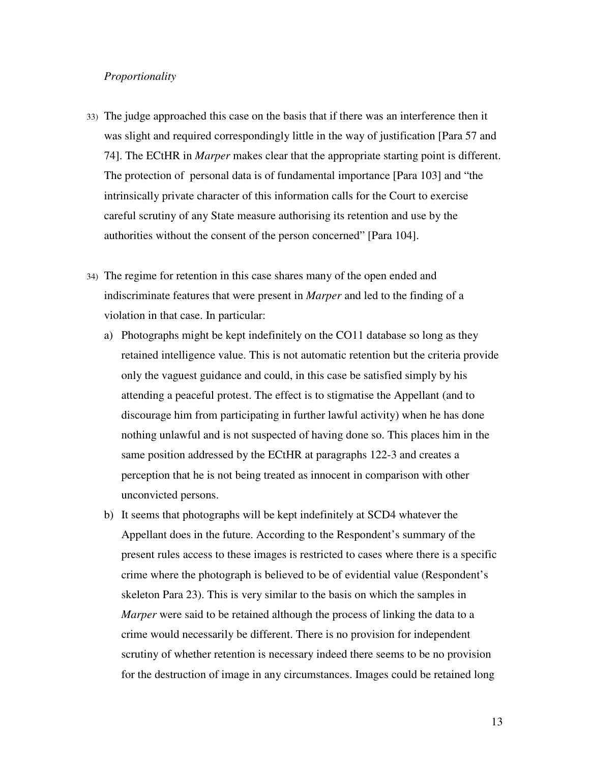## *Proportionality*

- 33) The judge approached this case on the basis that if there was an interference then it was slight and required correspondingly little in the way of justification [Para 57 and 74]. The ECtHR in *Marper* makes clear that the appropriate starting point is different. The protection of personal data is of fundamental importance [Para 103] and "the intrinsically private character of this information calls for the Court to exercise careful scrutiny of any State measure authorising its retention and use by the authorities without the consent of the person concerned" [Para 104].
- 34) The regime for retention in this case shares many of the open ended and indiscriminate features that were present in *Marper* and led to the finding of a violation in that case. In particular:
	- a) Photographs might be kept indefinitely on the CO11 database so long as they retained intelligence value. This is not automatic retention but the criteria provide only the vaguest guidance and could, in this case be satisfied simply by his attending a peaceful protest. The effect is to stigmatise the Appellant (and to discourage him from participating in further lawful activity) when he has done nothing unlawful and is not suspected of having done so. This places him in the same position addressed by the ECtHR at paragraphs 122-3 and creates a perception that he is not being treated as innocent in comparison with other unconvicted persons.
	- b) It seems that photographs will be kept indefinitely at SCD4 whatever the Appellant does in the future. According to the Respondent's summary of the present rules access to these images is restricted to cases where there is a specific crime where the photograph is believed to be of evidential value (Respondent's skeleton Para 23). This is very similar to the basis on which the samples in *Marper* were said to be retained although the process of linking the data to a crime would necessarily be different. There is no provision for independent scrutiny of whether retention is necessary indeed there seems to be no provision for the destruction of image in any circumstances. Images could be retained long